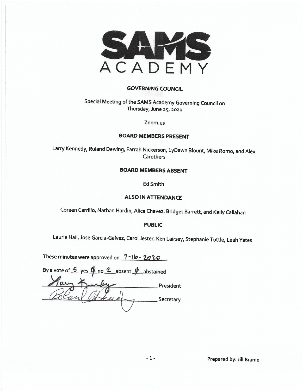

#### **GOVERNING COUNCIL**

Special Meeting of the SAMS Academy Governing Council on Thursday, June 25, 2020

Zoom.us

#### **BOARD MEMBERS PRESENT**

Larry Kennedy, Roland Dewing, Farrah Nickerson, LyDawn Blount, Mike Romo, and Alex Carothers

#### **BOARD MEMBERS ABSENT**

Ed Smith

#### **ALSO IN ATTENDANCE**

Coreen Carrillo, Nathan Hardin, Alice Chavez, Bridget Barrett, and Kelly Callahan

#### **PUBLIC**

Laurie Hall, Jose Garcia-Galvez, Carol Jester, Ken Lairsey, Stephanie Tuttle, Leah Yates

These minutes were approved on 1-10-2020

| By a vote of $\frac{6}{5}$ yes $\frac{6}{5}$ no $\frac{2}{5}$ absent $\frac{4}{5}$ abstained |           |
|----------------------------------------------------------------------------------------------|-----------|
|                                                                                              | President |
|                                                                                              | Secretary |
|                                                                                              |           |

Prepared by: Jill Brame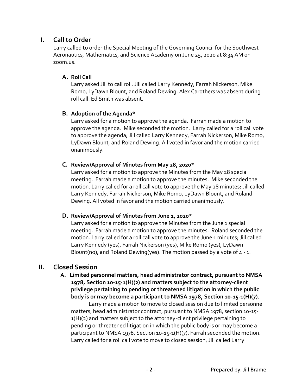# **I. Call to Order**

Larry called to order the Special Meeting of the Governing Council for the Southwest Aeronautics, Mathematics, and Science Academy on June 25, 2020 at 8:34 AM on zoom.us.

#### **A. Roll Call**

Larry asked Jill to call roll. Jill called Larry Kennedy, Farrah Nickerson, Mike Romo, LyDawn Blount, and Roland Dewing. Alex Carothers was absent during roll call. Ed Smith was absent.

#### **B. Adoption of the Agenda\***

Larry asked for a motion to approve the agenda. Farrah made a motion to approve the agenda. Mike seconded the motion. Larry called for a roll call vote to approve the agenda; Jill called Larry Kennedy, Farrah Nickerson, Mike Romo, LyDawn Blount, and Roland Dewing. All voted in favor and the motion carried unanimously.

#### **C. Review/Approval of Minutes from May 28, 2020\***

Larry asked for a motion to approve the Minutes from the May 28 special meeting. Farrah made a motion to approve the minutes. Mike seconded the motion. Larry called for a roll call vote to approve the May 28 minutes; Jill called Larry Kennedy, Farrah Nickerson, Mike Romo, LyDawn Blount, and Roland Dewing. All voted in favor and the motion carried unanimously.

#### **D. Review/Approval of Minutes from June 1, 2020\***

Larry asked for a motion to approve the Minutes from the June 1 special meeting. Farrah made a motion to approve the minutes. Roland seconded the motion. Larry called for a roll call vote to approve the June 1 minutes; Jill called Larry Kennedy (yes), Farrah Nickerson (yes), Mike Romo (yes), LyDawn Blount(no), and Roland Dewing(yes). The motion passed by a vote of  $4 - 1$ .

# **II. Closed Session**

 **A. Limited personnel matters, head administrator contract, pursuant to NMSA 1978, Section 10-15-1(H)(2) and matters subject to the attorney-client privilege pertaining to pending or threatened litigation in which the public body is or may become a participant to NMSA 1978, Section 10-15-1(H)(7).** 

Larry made a motion to move to closed session due to limited personnel matters, head administrator contract, pursuant to NMSA 1978, section 10-15- 1(H)(2) and matters subject to the attorney-client privilege pertaining to pending or threatened litigation in which the public body is or may become a participant to NMSA 1978, Section 10-15-1(H)(7). Farrah seconded the motion. Larry called for a roll call vote to move to closed session; Jill called Larry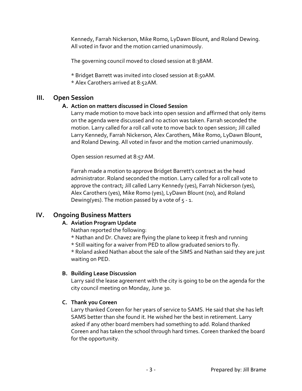Kennedy, Farrah Nickerson, Mike Romo, LyDawn Blount, and Roland Dewing. All voted in favor and the motion carried unanimously.

The governing council moved to closed session at 8:38AM.

\* Bridget Barrett was invited into closed session at 8:50AM.

\* Alex Carothers arrived at 8:52AM.

# **III. Open Session**

#### **A. Action on matters discussed in Closed Session**

Larry made motion to move back into open session and affirmed that only items on the agenda were discussed and no action was taken. Farrah seconded the motion. Larry called for a roll call vote to move back to open session; Jill called Larry Kennedy, Farrah Nickerson, Alex Carothers, Mike Romo, LyDawn Blount, and Roland Dewing. All voted in favor and the motion carried unanimously.

Open session resumed at 8:57 AM.

Farrah made a motion to approve Bridget Barrett's contract as the head administrator. Roland seconded the motion. Larry called for a roll call vote to approve the contract; Jill called Larry Kennedy (yes), Farrah Nickerson (yes), Alex Carothers (yes), Mike Romo (yes), LyDawn Blount (no), and Roland Dewing(yes). The motion passed by a vote of  $5 - 1$ .

# **IV. Ongoing Business Matters**

# **A. Aviation Program Update**

Nathan reported the following:

- \* Nathan and Dr. Chavez are flying the plane to keep it fresh and running
- \* Still waiting for a waiver from PED to allow graduated seniors to fly.

\* Roland asked Nathan about the sale of the SIMS and Nathan said they are just waiting on PED.

# **B. Building Lease Discussion**

Larry said the lease agreement with the city is going to be on the agenda for the city council meeting on Monday, June 30.

# **C. Thank you Coreen**

Larry thanked Coreen for her years of service to SAMS. He said that she has left SAMS better than she found it. He wished her the best in retirement. Larry asked if any other board members had something to add. Roland thanked Coreen and has taken the school through hard times. Coreen thanked the board for the opportunity.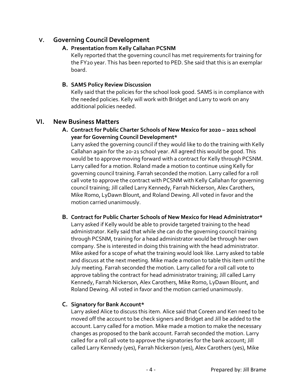# **V. Governing Council Development**

### **A. Presentation from Kelly Callahan PCSNM**

Kelly reported that the governing council has met requirements for training for the FY20 year. This has been reported to PED. She said that this is an exemplar board.

### **B. SAMS Policy Review Discussion**

Kelly said that the policies for the school look good. SAMS is in compliance with the needed policies. Kelly will work with Bridget and Larry to work on any additional policies needed.

# **VI. New Business Matters**

**A. Contract for Public Charter Schools of New Mexico for 2020 – 2021 school year for Governing Council Development\*** 

Larry asked the governing council if they would like to do the training with Kelly Callahan again for the 20-21 school year. All agreed this would be good. This would be to approve moving forward with a contract for Kelly through PCSNM. Larry called for a motion. Roland made a motion to continue using Kelly for governing council training. Farrah seconded the motion. Larry called for a roll call vote to approve the contract with PCSNM with Kelly Callahan for governing council training; Jill called Larry Kennedy, Farrah Nickerson, Alex Carothers, Mike Romo, LyDawn Blount, and Roland Dewing. All voted in favor and the motion carried unanimously.

**B. Contract for Public Charter Schools of New Mexico for Head Administrator\***  Larry asked if Kelly would be able to provide targeted training to the head administrator. Kelly said that while she can do the governing council training through PCSNM, training for a head administrator would be through her own company. She is interested in doing this training with the head administrator. Mike asked for a scope of what the training would look like. Larry asked to table and discuss at the next meeting. Mike made a motion to table this item until the July meeting. Farrah seconded the motion. Larry called for a roll call vote to approve tabling the contract for head administrator training; Jill called Larry Kennedy, Farrah Nickerson, Alex Carothers, Mike Romo, LyDawn Blount, and Roland Dewing. All voted in favor and the motion carried unanimously.

# **C. Signatory for Bank Account\***

Larry asked Alice to discuss this item. Alice said that Coreen and Ken need to be moved off the account to be check signers and Bridget and Jill be added to the account. Larry called for a motion. Mike made a motion to make the necessary changes as proposed to the bank account. Farrah seconded the motion. Larry called for a roll call vote to approve the signatories for the bank account; Jill called Larry Kennedy (yes), Farrah Nickerson (yes), Alex Carothers (yes), Mike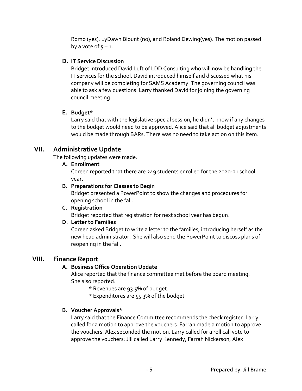Romo (yes), LyDawn Blount (no), and Roland Dewing(yes). The motion passed by a vote of  $5 - 1$ .

#### **D. IT Service Discussion**

Bridget introduced David Luft of LDD Consulting who will now be handling the IT services for the school. David introduced himself and discussed what his company will be completing for SAMS Academy. The governing council was able to ask a few questions. Larry thanked David for joining the governing council meeting.

### **E. Budget\***

Larry said that with the legislative special session, he didn't know if any changes to the budget would need to be approved. Alice said that all budget adjustments would be made through BARs. There was no need to take action on this item.

# **VII. Administrative Update**

The following updates were made:

#### **A. Enrollment**

Coreen reported that there are 249 students enrolled for the 2020-21 school year.

#### **B. Preparations for Classes to Begin**

Bridget presented a PowerPoint to show the changes and procedures for opening school in the fall.

#### **C. Registration**

Bridget reported that registration for next school year has begun.

#### **D. Letter to Families**

Coreen asked Bridget to write a letter to the families, introducing herself as the new head administrator. She will also send the PowerPoint to discuss plans of reopening in the fall.

# **VIII. Finance Report**

# **A. Business Office Operation Update**

Alice reported that the finance committee met before the board meeting. She also reported:

- \* Revenues are 93.5% of budget.
- \* Expenditures are 55.3% of the budget

# **B. Voucher Approvals\***

Larry said that the Finance Committee recommends the check register. Larry called for a motion to approve the vouchers. Farrah made a motion to approve the vouchers. Alex seconded the motion. Larry called for a roll call vote to approve the vouchers; Jill called Larry Kennedy, Farrah Nickerson, Alex